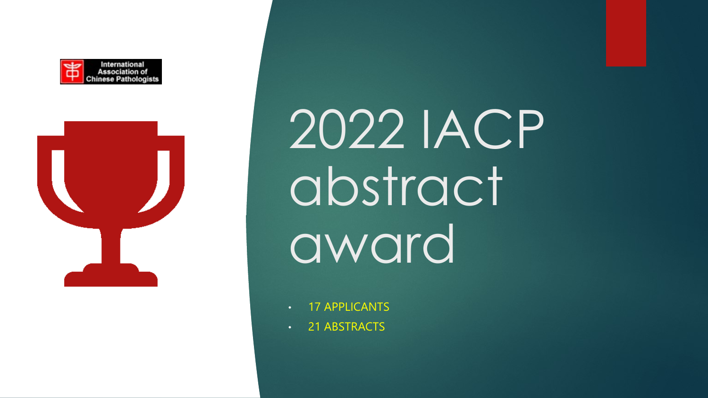



2022 IACP abstract award

- 17 APPLICANTS
- 21 ABSTRACTS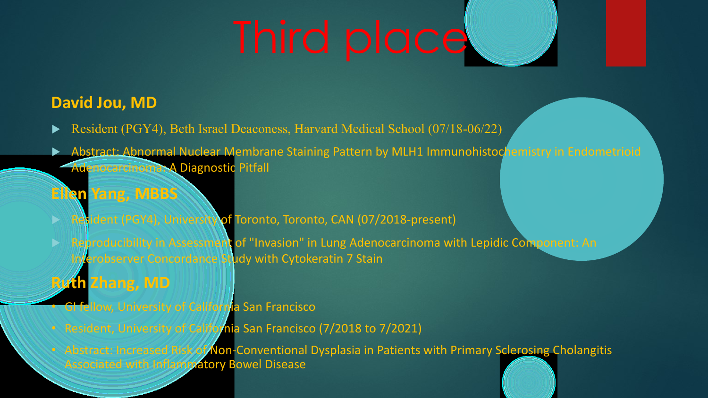# Third place

#### **David Jou, MD**

- Resident (PGY4), Beth Israel Deaconess, Harvard Medical School (07/18-06/22)
- Abstract: Abnormal Nuclear Membrane Staining Pattern by MLH1 Immunohistochemistry in Endometrioid Adenocarcinoma: A Diagnostic Pitfall

#### **Ellen Yang, MBBS**

- Resident (PGY4), University of Toronto, Toronto, CAN (07/2018-present)
- **D Reproducibility in Assessment of "Invasion" in Lung Adenocarcinoma with Lepidic Component: An** Interobserver Concordance Study with Cytokeratin 7 Stain
- **Ruth Zhang, MD**
- **GI fellow, University of California San Francisco**
- 
- Associated with Inflammatory Bowel Disease
- 
- Resident, University of California San Francisco (7/2018 to 7/2021)
- Abstract: Increased Risk of Non-Conventional Dysplasia in Patients with Primary Sclerosing Cholangitis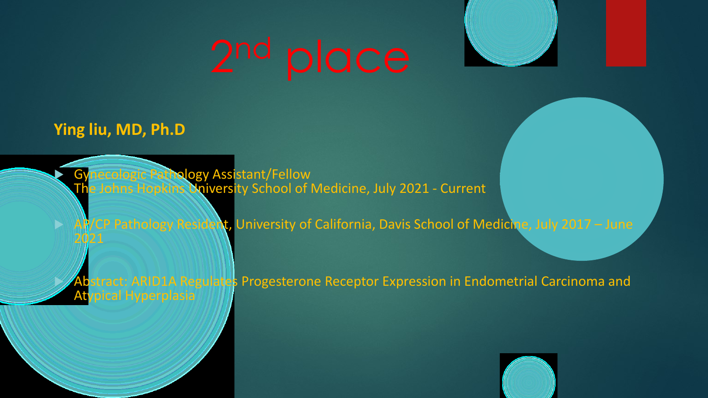



### **Ying liu, MD, Ph.D**

**Synecologic Pathology Assistant/Fellow** The Johns Hopkins University School of Medicine, July 2021 - Current

AP/CP Pathology Resident, University of California, Davis School of Medicine, July 2017 - June 2021



stract: ARID1A Regulates Progesterone Receptor Expression in Endometrial Carcinoma and Atypical Hyperplasia

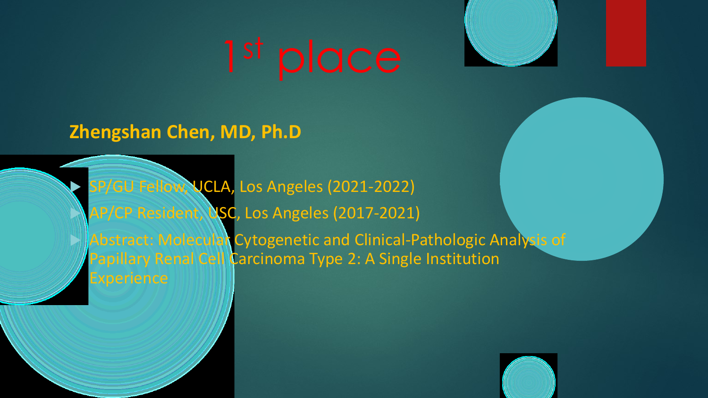

**Zhengshan Chen, MD, Ph.D**

 SP/GU Fellow, UCLA, Los Angeles (2021-2022) AP/CP Resident, USC, Los Angeles (2017-2021) Abstract: Molecular Cytogenetic and Clinical-Pathologic Analysis of Papillary Renal Cell Carcinoma Type 2: A Single Institution Experience

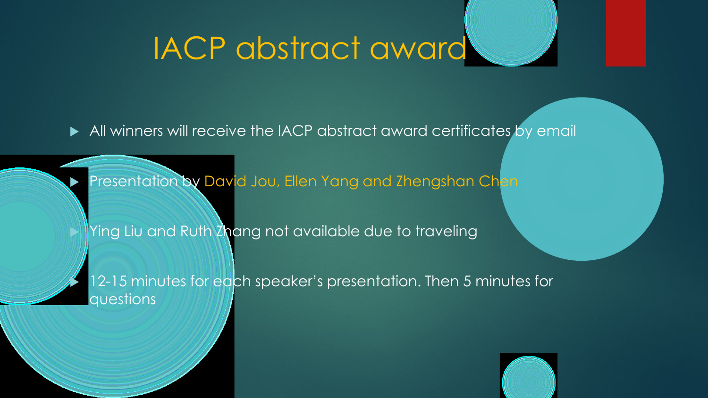### IACP abstract award

All winners will receive the IACP abstract award certificates by email

Presentation by David Jou, Ellen Yang and Zhengshan Chen

Ying Liu and Ruth Zhang not available due to traveling

12-15 minutes for each speaker's presentation. Then 5 minutes for questions